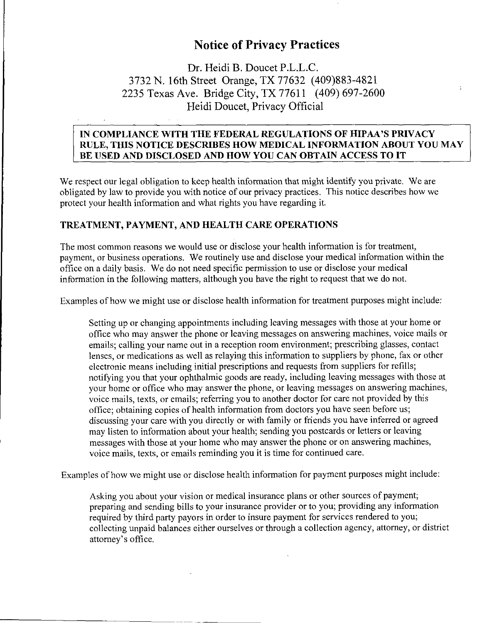# **Notice of Privacy Practices**

Dr. Heidi B. Doucet P.L.L.C. 3732 N. 16th Street Orange, TX 77632 (409)883-4821 2235 Texas Ave. Bridge City, TX 77611 (409) 697-2600 Heidi Doucet, Privacy Official

#### **IN COMPLIANCE WITH THE FEDERAL REGULATIONS OF HIPAA'S PRIVACY RULE, THIS NOTICE DESCRIBES HOW MEDICAL INFORMATION ABOUT YOU MAY BE USED AND DISCLOSED AND HOW YOU CAN OBTAIN ACCESS TO IT**

We respect our legal obligation to keep health information that might identify you private. We are obligated by law to provide you with notice of our privacy practices. This notice describes how we protect your health information and what rights you have regarding it.

#### **TREATMENT, PAYMENT, AND HEALTH CARE OPERATIONS**

The most common reasons we would use or disclose your health information is for treatment, payment, or business operations. We routinely use and disclose your medical information within the office on a daily basis. We do not need specific permission to use or disclose your medical information in the following matters, although you have the right to request that we do not.

Examples of how we might use or disclose health information for treatment purposes might include:

Setting up or changing appointments including leaving messages with those at your home or office who may answer the phone or leaving messages on answering machines, voice mails or emails; calling your name out in a reception room environment; prescribing glasses, contact lenses, or medications as well as relaying this information to suppliers by phone, fax or other electronic means including initial prescriptions and requests from suppliers for refills; notifying you that your ophthalmic goods are ready, including leaving messages with those at your home or office who may answer the phone, or leaving messages on answering machines, voice mails, texts, or emails; referring you to another doctor for care not provided by this office; obtaining copies of health information from doctors you have seen before us; discussing your care with you directly or with family or friends you have inferred or agreed may listen to information about your health; sending you postcards or letters or leaving messages with those at your home who may answer the phone or on answering machines, voice mails, texts, or emails reminding you it is time for continued care.

Examples of how we might use or disclose health information for payment purposes might include:

Asking you about your vision or medical insurance plans or other sources of payment; preparing and sending bills to your insurance provider or to you; providing any information required by third party payors in order to insure payment for services rendered to you; collecting unpaid balances either ourselves or through a collection agency, attorney, or district attorney's office.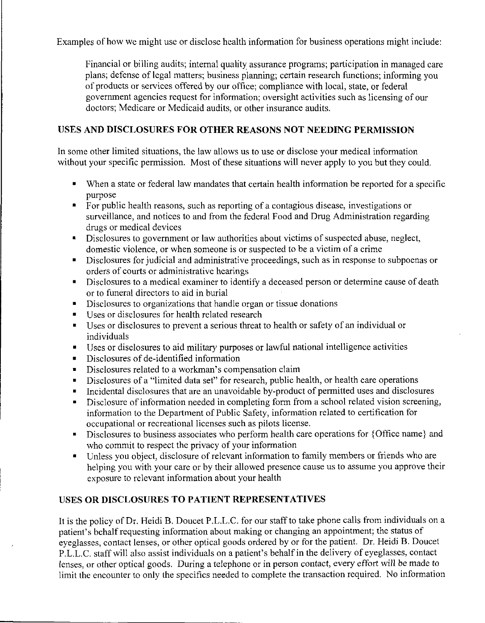Examples of how we might use or disclose health information for business operations might include:

Financial or billing audits; internal quality assurance programs; participation in managed care plans; defense of legal matters; business planning; certain research functions; informing you of products or services offered by our office; compliance with local, state, or federal government agencies request for information; oversight activities such as licensing of our doctors; Medicare or Medicaid audits, or other insurance audits.

## **USES AND DISCLOSURES FOR OTHER REASONS NOT NEEDING PERMISSION**

In some other limited situations, the law allows us to use or disclose your medical information without your specific permission. Most of these situations will never apply to you but they could.

- When a state or federal law mandates that certain health information be reported for a specific purpose
- For public health reasons, such as reporting of a contagious disease, investigations or surveillance, and notices to and from the federal Food and Drug Administration regarding drugs or medical devices
- Disclosures to government or law authorities about victims of suspected abuse, neglect, domestic violence, or when someone is or suspected to be a victim of a crime
- Disclosures for judicial and administrative proceedings, such as in response to subpoenas or orders of courts or administrative hearings
- Disclosures to a medical examiner to identify a deceased person or determine cause of death or to funeral directors to aid in burial
- Disclosures to organizations that handle organ or tissue donations
- Uses or disclosures for health related research
- Uses or disclosures to prevent a serious threat to health or safety of an individual or individuals
- Uses or disclosures to aid military purposes or lawful national intelligence activities
- Disclosures of de-identified information
- Disclosures related to a workman's compensation claim
- Disclosures of a "limited data set" for research, public health, or health care operations
- Incidental disclosures that are an unavoidable by-product of permitted uses and disclosures
- Disclosure of information needed in completing form from a school related vision screening, information to the Department of Public Safety, information related to certification for occupational or recreational licenses such as pilots license.
- Disclosures to business associates who perform health care operations for {Office name} and who commit to respect the privacy of your information
- Unless you object, disclosure of relevant information to family members or friends who are helping you with your care or by their allowed presence cause us to assume you approve their exposure to relevant information about your health

## **USES OR DISCLOSURES TO PATIENT REPRESENTATIVES**

It is the policy of Dr. Heidi B. Doucet P.L.L.C. for our staff to take phone calls from individuals on a patient's behalf requesting information about making or changing an appointment; the status of eyeglasses, contact lenses, or other optical goods ordered by or for the patient. Dr. Heidi B. Doucet P.L.L.C. staff will also assist individuals on a patient's behalf in the delivery of eyeglasses, contact lenses, or other optical goods. During a telephone or in person contact, every effort will be made to limit the encounter to only the specifics needed to complete the transaction required. No information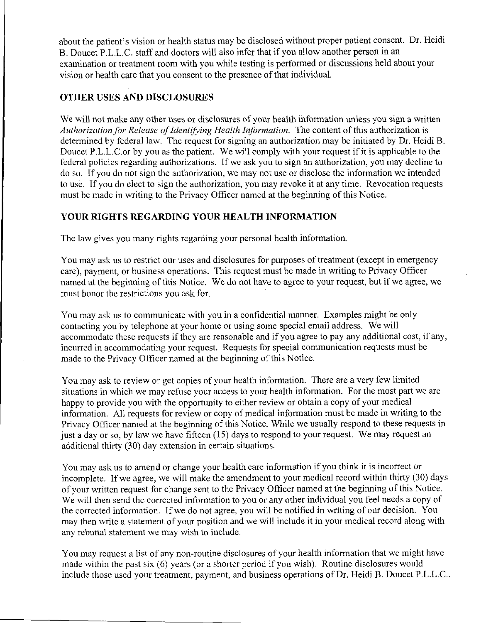about the patient's vision or health status may be disclosed without proper patient consent. Dr. Heidi B. Doucet P.L.L.C. staff and doctors will also infer that if you allow another person in an examination or treatment room with you while testing is performed or discussions held about your vision or health care that you consent to the presence of that individual.

#### **OTHER USES AND DISCLOSURES**

We will not make any other uses or disclosures of your health information unless you sign a written *Authorization for Release of Identifying Health Information.* The content of this authorization is determined by federal law. The request for signing an authorization may be initiated by Dr. Heidi B. Doucet P.L.L.C.or by you as the patient. We will comply with your request if it is applicable to the federal policies regarding authorizations. If we ask you to sign an authorization, you may decline to do so. If you do not sign the authorization, we may not use or disclose the information we intended to use. If you do elect to sign the authorization, you may revoke it at any time. Revocation requests must be made in writing to the Privacy Officer named at the beginning of this Notice.

### **YOUR RIGHTS REGARDING YOUR HEALTH INFORMATION**

The law gives you many rights regarding your personal health information.

You may ask us to restrict our uses and disclosures for purposes of treatment (except in emergency care), payment, or business operations. This request must be made in writing to Privacy Officer named at the beginning of this Notice. We do not have to agree to your request, but if we agree, we must honor the restrictions you ask for.

You may ask us to communicate with you in a confidential manner. Examples might be only contacting you by telephone at your home or using some special email address. We will accommodate these requests if they are reasonable and if you agree to pay any additional cost, if any, incurred in accommodating your request. Requests for special communication requests must be made to the Privacy Officer named at the beginning of this Notice.

You may ask to review or get copies of your health information. There are a very few limited situations in which we may refuse your access to your health information. For the most part we are happy to provide you with the opportunity to either review or obtain a copy of your medical information. All requests for review or copy of medical information must be made in writing to the Privacy Officer named at the beginning of this Notice. While we usually respond to these requests in just a day or so, by law we have fifteen (15) days to respond to your request. We may request an additional thirty (30) day extension in certain situations.

You may ask us to amend or change your health care information if you think it is incorrect or incomplete. If we agree, we will make the amendment to your medical record within thirty (30) days of your written request for change sent to the Privacy Officer named at the beginning of this Notice. We will then send the corrected information to you or any other individual you feel needs a copy of the corrected information. If we do not agree, you will be notified in writing of our decision. You may then write a statement of your position and we will include it in your medical record along with any rebuttal statement we may wish to include.

You may request a list of any non-routine disclosures of your health information that we might have made within the past six (6) years (or a shorter period if you wish). Routine disclosures would include those used your treatment, payment, and business operations of Dr. Heidi B. Doucet P.L.L.C..